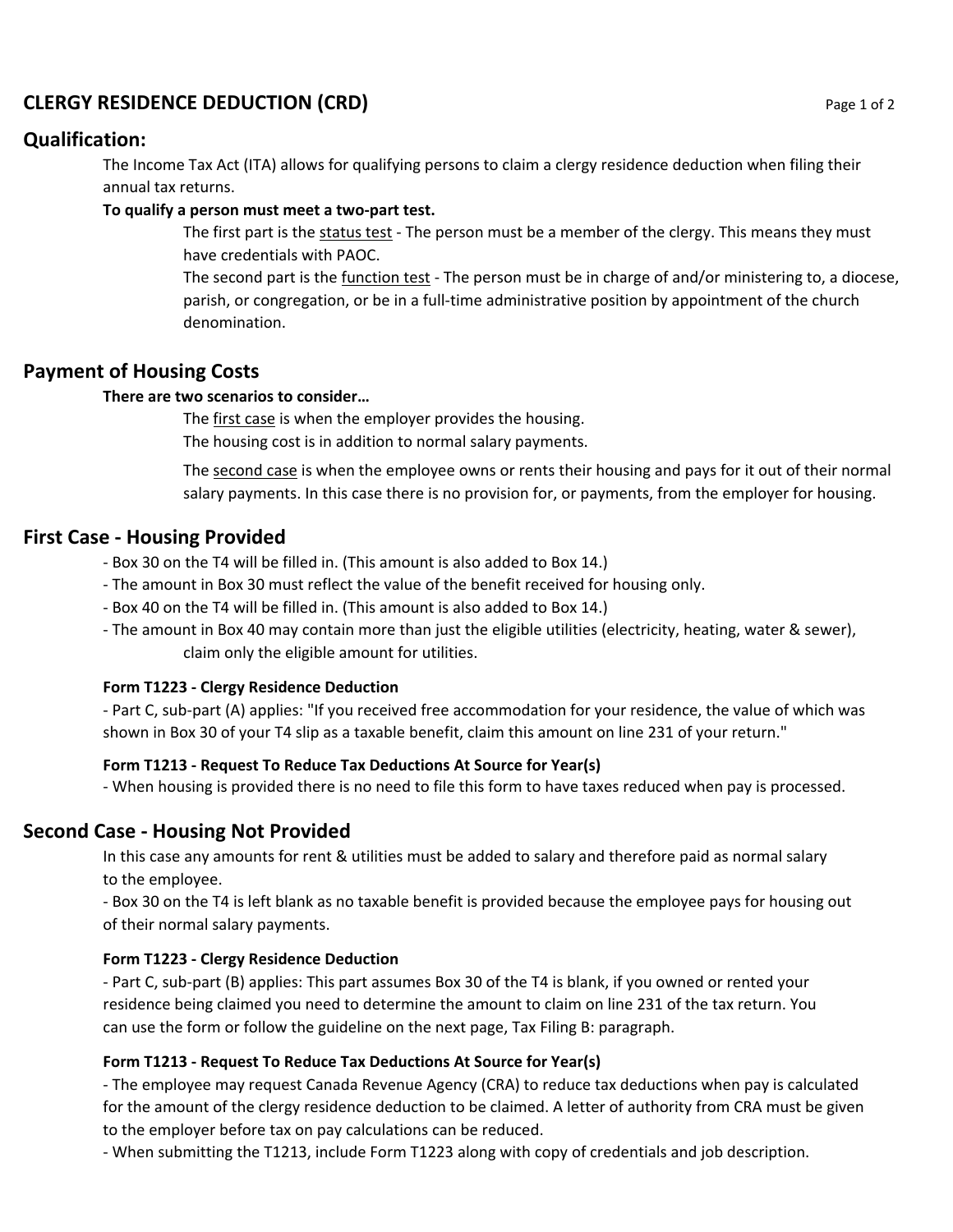# **CLERGY RESIDENCE DEDUCTION (CRD)** Page 1 of 2

## **Qualification:**

The Income Tax Act (ITA) allows for qualifying persons to claim a clergy residence deduction when filing their annual tax returns.

#### **To qualify a person must meet a two‐part test.**

The first part is the status test - The person must be a member of the clergy. This means they must have credentials with PAOC.

The second part is the function test ‐ The person must be in charge of and/or ministering to, a diocese, parish, or congregation, or be in a full-time administrative position by appointment of the church denomination.

## **Payment of Housing Costs**

#### **There are two scenarios to consider…**

The first case is when the employer provides the housing.

The housing cost is in addition to normal salary payments.

The second case is when the employee owns or rents their housing and pays for it out of their normal salary payments. In this case there is no provision for, or payments, from the employer for housing.

## **First Case ‐ Housing Provided**

‐ Box 30 on the T4 will be filled in. (This amount is also added to Box 14.)

- ‐ The amount in Box 30 must reflect the value of the benefit received for housing only.
- ‐ Box 40 on the T4 will be filled in. (This amount is also added to Box 14.)
- ‐ The amount in Box 40 may contain more than just the eligible utilities (electricity, heating, water & sewer), claim only the eligible amount for utilities.

#### **Form T1223 ‐ Clergy Residence Deduction**

‐ Part C, sub‐part (A) applies: "If you received free accommodation for your residence, the value of which was shown in Box 30 of your T4 slip as a taxable benefit, claim this amount on line 231 of your return."

#### **Form T1213 ‐ Request To Reduce Tax Deductions At Source for Year(s)**

‐ When housing is provided there is no need to file this form to have taxes reduced when pay is processed.

## **Second Case ‐ Housing Not Provided**

In this case any amounts for rent & utilities must be added to salary and therefore paid as normal salary to the employee.

‐ Box 30 on the T4 is left blank as no taxable benefit is provided because the employee pays for housing out of their normal salary payments.

#### **Form T1223 ‐ Clergy Residence Deduction**

‐ Part C, sub‐part (B) applies: This part assumes Box 30 of the T4 is blank, if you owned or rented your residence being claimed you need to determine the amount to claim on line 231 of the tax return. You can use the form or follow the guideline on the next page, Tax Filing B: paragraph.

#### **Form T1213 ‐ Request To Reduce Tax Deductions At Source for Year(s)**

‐ The employee may request Canada Revenue Agency (CRA) to reduce tax deductions when pay is calculated for the amount of the clergy residence deduction to be claimed. A letter of authority from CRA must be given to the employer before tax on pay calculations can be reduced.

‐ When submitting the T1213, include Form T1223 along with copy of credentials and job description.